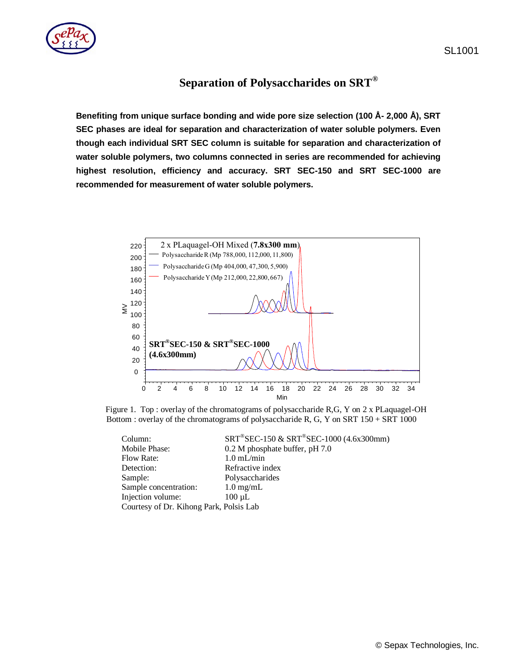

**Benefiting from unique surface bonding and wide pore size selection (100 Å- 2,000 Å), SRT SEC phases are ideal for separation and characterization of water soluble polymers. Even though each individual SRT SEC column is suitable for separation and characterization of water soluble polymers, two columns connected in series are recommended for achieving highest resolution, efficiency and accuracy. SRT SEC-150 and SRT SEC-1000 are recommended for measurement of water soluble polymers.**



Figure 1. Top : overlay of the chromatograms of polysaccharide R,G, Y on 2 x PLaquagel-OH Bottom : overlay of the chromatograms of polysaccharide R, G, Y on SRT 150 + SRT 1000

| Column:                                 | $SRT^@SEC-150 \& SRT^@SEC-1000 (4.6x300mm)$ |
|-----------------------------------------|---------------------------------------------|
| Mobile Phase:                           | 0.2 M phosphate buffer, pH 7.0              |
| <b>Flow Rate:</b>                       | $1.0$ mL/min                                |
| Detection:                              | Refractive index                            |
| Sample:                                 | Polysaccharides                             |
| Sample concentration:                   | $1.0 \text{ mg/mL}$                         |
| Injection volume:                       | $100 \mu L$                                 |
| Courtesy of Dr. Kihong Park, Polsis Lab |                                             |